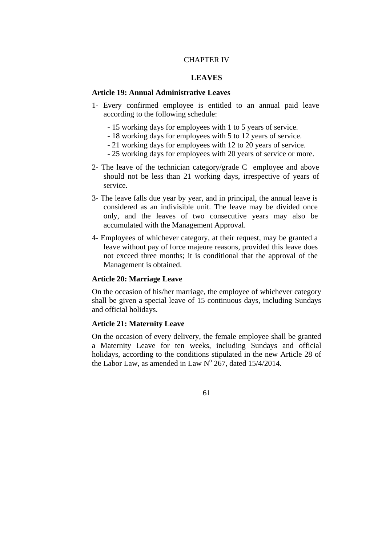### CHAPTER IV

## **LEAVES**

#### **Article 19: Annual Administrative Leaves**

- 1- Every confirmed employee is entitled to an annual paid leave according to the following schedule:
	- 15 working days for employees with 1 to 5 years of service.
	- 18 working days for employees with 5 to 12 years of service.
	- 21 working days for employees with 12 to 20 years of service.
	- 25 working days for employees with 20 years of service or more.
- 2- The leave of the technician category/grade C employee and above should not be less than 21 working days, irrespective of years of service.
- 3- The leave falls due year by year, and in principal, the annual leave is considered as an indivisible unit. The leave may be divided once only, and the leaves of two consecutive years may also be accumulated with the Management Approval.
- 4- Employees of whichever category, at their request, may be granted a leave without pay of force majeure reasons, provided this leave does not exceed three months; it is conditional that the approval of the Management is obtained.

#### **Article 20: Marriage Leave**

On the occasion of his/her marriage, the employee of whichever category shall be given a special leave of 15 continuous days, including Sundays and official holidays.

### **Article 21: Maternity Leave**

On the occasion of every delivery, the female employee shall be granted a Maternity Leave for ten weeks, including Sundays and official holidays, according to the conditions stipulated in the new Article 28 of the Labor Law, as amended in Law  $N^{\circ}$  267, dated 15/4/2014.

61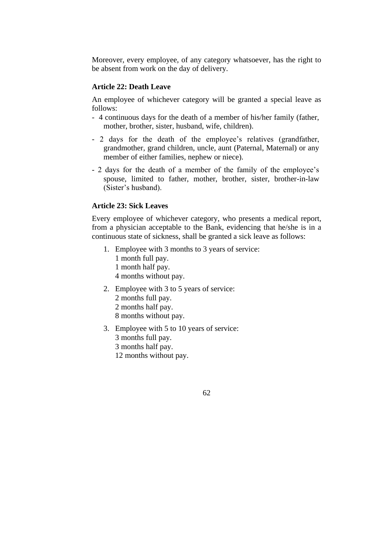Moreover, every employee, of any category whatsoever, has the right to be absent from work on the day of delivery.

#### **Article 22: Death Leave**

An employee of whichever category will be granted a special leave as follows:

- 4 continuous days for the death of a member of his/her family (father, mother, brother, sister, husband, wife, children).
- 2 days for the death of the employee's relatives (grandfather, grandmother, grand children, uncle, aunt (Paternal, Maternal) or any member of either families, nephew or niece).
- 2 days for the death of a member of the family of the employee's spouse, limited to father, mother, brother, sister, brother-in-law (Sister's husband).

### **Article 23: Sick Leaves**

Every employee of whichever category, who presents a medical report, from a physician acceptable to the Bank, evidencing that he/she is in a continuous state of sickness, shall be granted a sick leave as follows:

- 1. Employee with 3 months to 3 years of service: 1 month full pay. 1 month half pay. 4 months without pay.
- 2. Employee with 3 to 5 years of service: 2 months full pay. 2 months half pay. 8 months without pay.
- 3. Employee with 5 to 10 years of service: 3 months full pay. 3 months half pay. 12 months without pay.

62